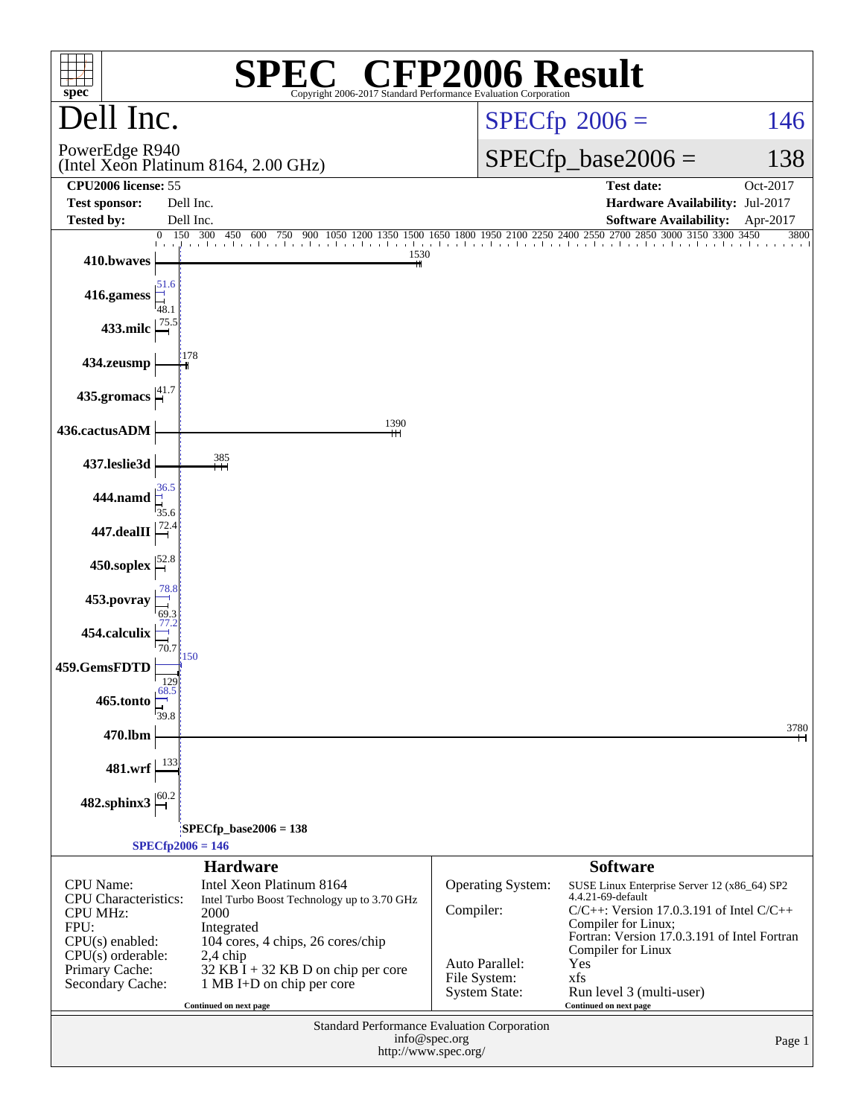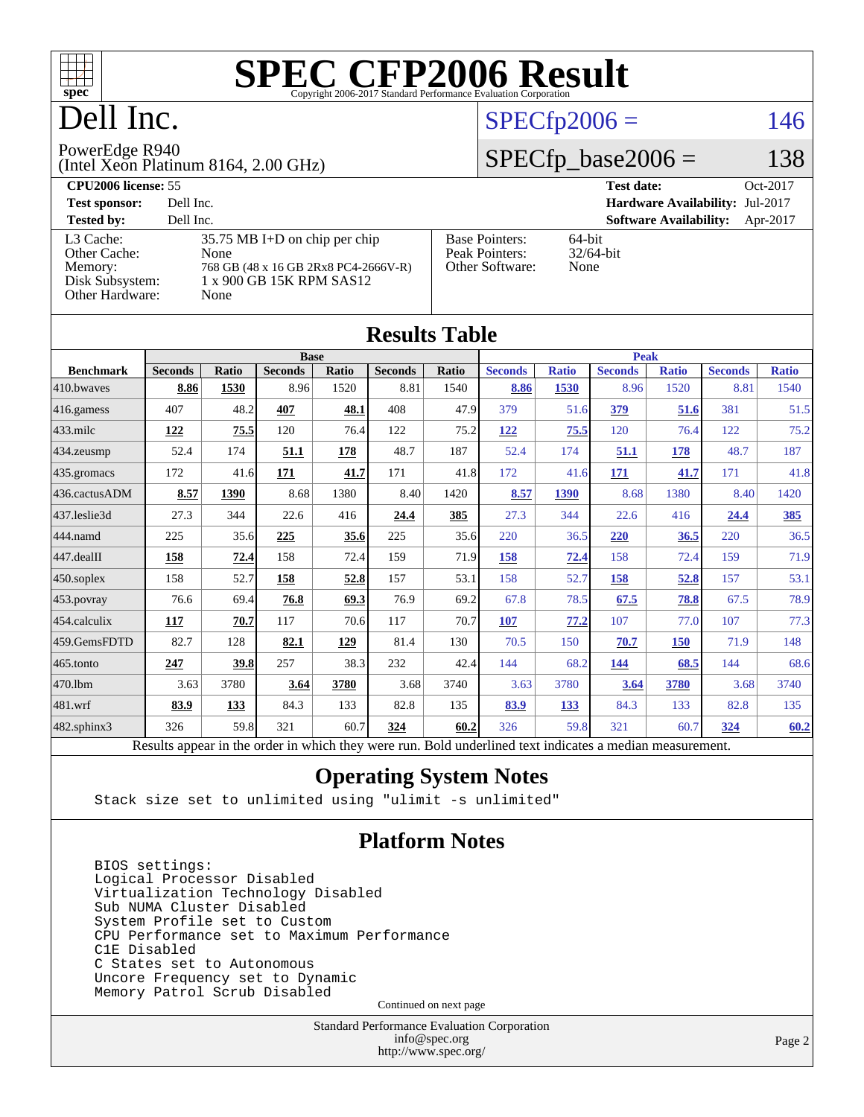

## Dell Inc.

## $SPECfp2006 = 146$  $SPECfp2006 = 146$

#### PowerEdge R940

(Intel Xeon Platinum 8164, 2.00 GHz)

 $SPECfp\_base2006 = 138$ 

| <b>CPU2006 license: 55</b>                                                 |                                                                                                                     |                                                            | Oct-2017<br><b>Test date:</b>             |
|----------------------------------------------------------------------------|---------------------------------------------------------------------------------------------------------------------|------------------------------------------------------------|-------------------------------------------|
| <b>Test sponsor:</b>                                                       | Dell Inc.                                                                                                           |                                                            | <b>Hardware Availability: Jul-2017</b>    |
| <b>Tested by:</b>                                                          | Dell Inc.                                                                                                           |                                                            | <b>Software Availability:</b><br>Apr-2017 |
| L3 Cache:<br>Other Cache:<br>Memory:<br>Disk Subsystem:<br>Other Hardware: | $35.75$ MB I+D on chip per chip<br>None<br>768 GB (48 x 16 GB 2Rx8 PC4-2666V-R)<br>1 x 900 GB 15K RPM SAS12<br>None | <b>Base Pointers:</b><br>Peak Pointers:<br>Other Software: | 64-bit<br>$32/64$ -bit<br>None            |

| <b>Results Table</b> |                                                                                                          |              |                |       |                |       |                |              |                |              |                |              |  |
|----------------------|----------------------------------------------------------------------------------------------------------|--------------|----------------|-------|----------------|-------|----------------|--------------|----------------|--------------|----------------|--------------|--|
|                      | <b>Base</b>                                                                                              |              |                |       |                |       |                | <b>Peak</b>  |                |              |                |              |  |
| <b>Benchmark</b>     | <b>Seconds</b>                                                                                           | <b>Ratio</b> | <b>Seconds</b> | Ratio | <b>Seconds</b> | Ratio | <b>Seconds</b> | <b>Ratio</b> | <b>Seconds</b> | <b>Ratio</b> | <b>Seconds</b> | <b>Ratio</b> |  |
| 410.bwayes           | 8.86                                                                                                     | 1530         | 8.96           | 1520  | 8.81           | 1540  | 8.86           | 1530         | 8.96           | 1520         | 8.81           | 1540         |  |
| 416.gamess           | 407                                                                                                      | 48.2         | 407            | 48.1  | 408            | 47.9  | 379            | 51.6         | 379            | 51.6         | 381            | 51.5         |  |
| $433$ .milc          | 122                                                                                                      | 75.5         | 120            | 76.4  | 122            | 75.2  | 122            | 75.5         | 120            | 76.4         | 122            | 75.2         |  |
| 434.zeusmp           | 52.4                                                                                                     | 174          | 51.1           | 178   | 48.7           | 187   | 52.4           | 174          | 51.1           | 178          | 48.7           | 187          |  |
| 435.gromacs          | 172                                                                                                      | 41.6         | 171            | 41.7  | 171            | 41.8  | 172            | 41.6         | 171            | 41.7         | 171            | 41.8         |  |
| 436.cactusADM        | 8.57                                                                                                     | 1390         | 8.68           | 1380  | 8.40           | 1420  | 8.57           | 1390         | 8.68           | 1380         | 8.40           | 1420         |  |
| 437.leslie3d         | 27.3                                                                                                     | 344          | 22.6           | 416   | 24.4           | 385   | 27.3           | 344          | 22.6           | 416          | 24.4           | <u>385</u>   |  |
| 444.namd             | 225                                                                                                      | 35.6         | 225            | 35.6  | 225            | 35.6  | 220            | 36.5         | 220            | 36.5         | 220            | 36.5         |  |
| 447.dealII           | 158                                                                                                      | 72.4         | 158            | 72.4  | 159            | 71.9  | 158            | 72.4         | 158            | 72.4         | 159            | 71.9         |  |
| 450.soplex           | 158                                                                                                      | 52.7         | 158            | 52.8  | 157            | 53.1  | 158            | 52.7         | 158            | 52.8         | 157            | 53.1         |  |
| 453.povray           | 76.6                                                                                                     | 69.4         | 76.8           | 69.3  | 76.9           | 69.2  | 67.8           | 78.5         | 67.5           | 78.8         | 67.5           | 78.9         |  |
| 454.calculix         | 117                                                                                                      | 70.7         | 117            | 70.6  | 117            | 70.7  | 107            | 77.2         | 107            | 77.0         | 107            | 77.3         |  |
| 459.GemsFDTD         | 82.7                                                                                                     | 128          | 82.1           | 129   | 81.4           | 130   | 70.5           | 150          | 70.7           | <b>150</b>   | 71.9           | 148          |  |
| 465.tonto            | 247                                                                                                      | 39.8         | 257            | 38.3  | 232            | 42.4  | 144            | 68.2         | 144            | 68.5         | 144            | 68.6         |  |
| 470.1bm              | 3.63                                                                                                     | 3780         | 3.64           | 3780  | 3.68           | 3740  | 3.63           | 3780         | 3.64           | 3780         | 3.68           | 3740         |  |
| 481.wrf              | 83.9                                                                                                     | 133          | 84.3           | 133   | 82.8           | 135   | 83.9           | 133          | 84.3           | 133          | 82.8           | 135          |  |
| 482.sphinx3          | 326                                                                                                      | 59.8         | 321            | 60.7  | 324            | 60.2  | 326            | 59.8         | 321            | 60.7         | 324            | 60.2         |  |
|                      | Results appear in the order in which they were run. Bold underlined text indicates a median measurement. |              |                |       |                |       |                |              |                |              |                |              |  |

### **[Operating System Notes](http://www.spec.org/auto/cpu2006/Docs/result-fields.html#OperatingSystemNotes)**

Stack size set to unlimited using "ulimit -s unlimited"

### **[Platform Notes](http://www.spec.org/auto/cpu2006/Docs/result-fields.html#PlatformNotes)**

 BIOS settings: Logical Processor Disabled Virtualization Technology Disabled Sub NUMA Cluster Disabled System Profile set to Custom CPU Performance set to Maximum Performance C1E Disabled C States set to Autonomous Uncore Frequency set to Dynamic Memory Patrol Scrub Disabled

Continued on next page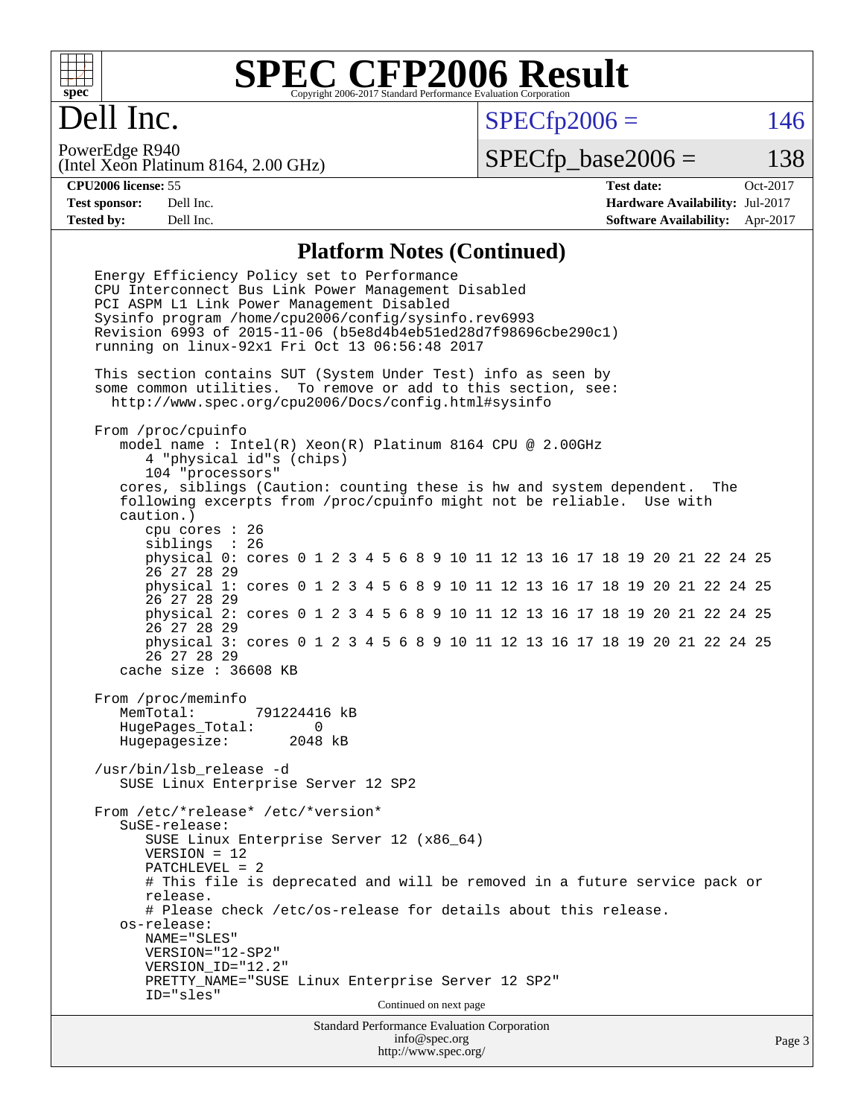

## Dell Inc.

 $SPECTp2006 = 146$ 

(Intel Xeon Platinum 8164, 2.00 GHz) PowerEdge R940

 $SPECTp\_base2006 = 138$ 

**[CPU2006 license:](http://www.spec.org/auto/cpu2006/Docs/result-fields.html#CPU2006license)** 55 **[Test date:](http://www.spec.org/auto/cpu2006/Docs/result-fields.html#Testdate)** Oct-2017 **[Test sponsor:](http://www.spec.org/auto/cpu2006/Docs/result-fields.html#Testsponsor)** Dell Inc. **[Hardware Availability:](http://www.spec.org/auto/cpu2006/Docs/result-fields.html#HardwareAvailability)** Jul-2017 **[Tested by:](http://www.spec.org/auto/cpu2006/Docs/result-fields.html#Testedby)** Dell Inc. **[Software Availability:](http://www.spec.org/auto/cpu2006/Docs/result-fields.html#SoftwareAvailability)** Apr-2017

### **[Platform Notes \(Continued\)](http://www.spec.org/auto/cpu2006/Docs/result-fields.html#PlatformNotes)**

Standard Performance Evaluation Corporation Energy Efficiency Policy set to Performance CPU Interconnect Bus Link Power Management Disabled PCI ASPM L1 Link Power Management Disabled Sysinfo program /home/cpu2006/config/sysinfo.rev6993 Revision 6993 of 2015-11-06 (b5e8d4b4eb51ed28d7f98696cbe290c1) running on linux-92x1 Fri Oct 13 06:56:48 2017 This section contains SUT (System Under Test) info as seen by some common utilities. To remove or add to this section, see: <http://www.spec.org/cpu2006/Docs/config.html#sysinfo> From /proc/cpuinfo model name : Intel(R) Xeon(R) Platinum 8164 CPU @ 2.00GHz 4 "physical id"s (chips) 104 "processors" cores, siblings (Caution: counting these is hw and system dependent. The following excerpts from /proc/cpuinfo might not be reliable. Use with caution.) cpu cores : 26 siblings : 26 physical 0: cores 0 1 2 3 4 5 6 8 9 10 11 12 13 16 17 18 19 20 21 22 24 25 26 27 28 29 physical 1: cores 0 1 2 3 4 5 6 8 9 10 11 12 13 16 17 18 19 20 21 22 24 25 26 27 28 29 physical 2: cores 0 1 2 3 4 5 6 8 9 10 11 12 13 16 17 18 19 20 21 22 24 25 26 27 28 29 physical 3: cores 0 1 2 3 4 5 6 8 9 10 11 12 13 16 17 18 19 20 21 22 24 25 26 27 28 29 cache size : 36608 KB From /proc/meminfo MemTotal: 791224416 kB HugePages\_Total: 0 Hugepagesize: 2048 kB /usr/bin/lsb\_release -d SUSE Linux Enterprise Server 12 SP2 From /etc/\*release\* /etc/\*version\* SuSE-release: SUSE Linux Enterprise Server 12 (x86\_64) VERSION = 12 PATCHLEVEL = 2 # This file is deprecated and will be removed in a future service pack or release. # Please check /etc/os-release for details about this release. os-release: NAME="SLES" VERSION="12-SP2" VERSION\_ID="12.2" PRETTY\_NAME="SUSE Linux Enterprise Server 12 SP2" ID="sles" Continued on next page

[info@spec.org](mailto:info@spec.org) <http://www.spec.org/>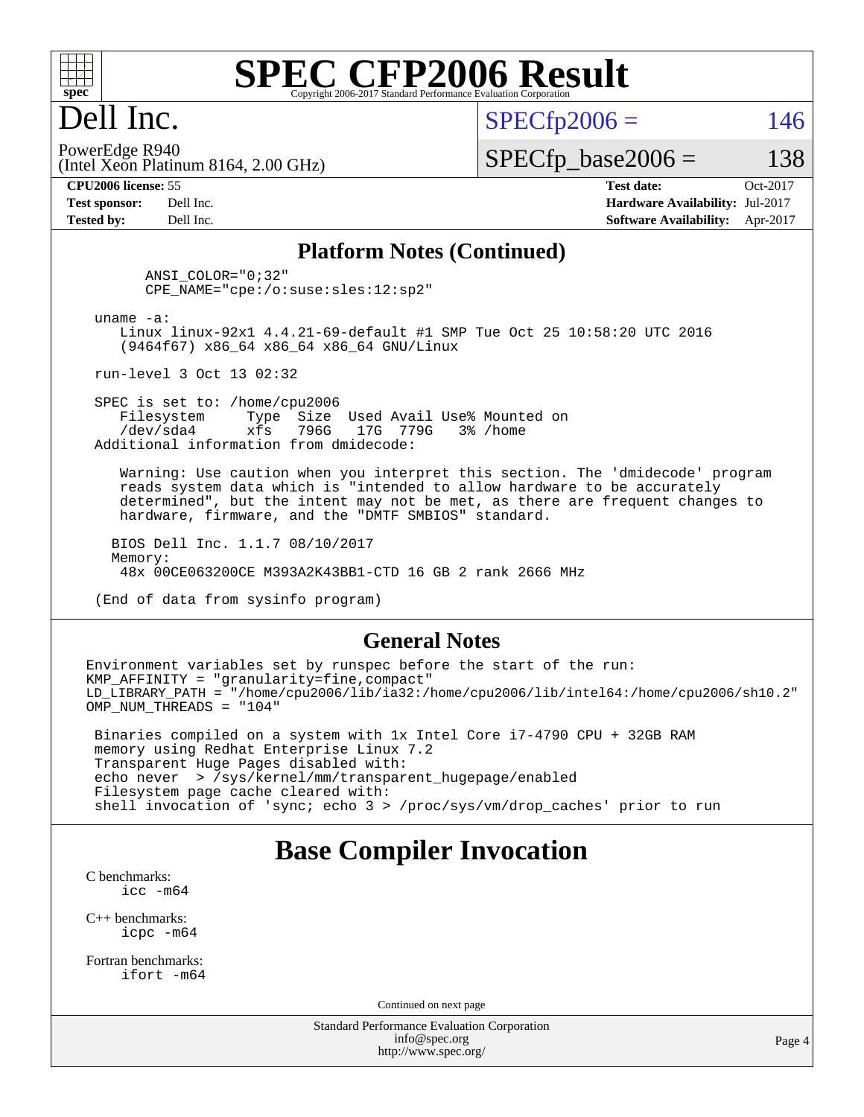

## Dell Inc.

 $SPECTp2006 = 146$ 

(Intel Xeon Platinum 8164, 2.00 GHz) PowerEdge R940

 $SPECTp\_base2006 = 138$ 

**[CPU2006 license:](http://www.spec.org/auto/cpu2006/Docs/result-fields.html#CPU2006license)** 55 **[Test date:](http://www.spec.org/auto/cpu2006/Docs/result-fields.html#Testdate)** Oct-2017 **[Test sponsor:](http://www.spec.org/auto/cpu2006/Docs/result-fields.html#Testsponsor)** Dell Inc. **[Hardware Availability:](http://www.spec.org/auto/cpu2006/Docs/result-fields.html#HardwareAvailability)** Jul-2017 **[Tested by:](http://www.spec.org/auto/cpu2006/Docs/result-fields.html#Testedby)** Dell Inc. **[Software Availability:](http://www.spec.org/auto/cpu2006/Docs/result-fields.html#SoftwareAvailability)** Apr-2017

### **[Platform Notes \(Continued\)](http://www.spec.org/auto/cpu2006/Docs/result-fields.html#PlatformNotes)**

 ANSI\_COLOR="0;32" CPE\_NAME="cpe:/o:suse:sles:12:sp2"

uname -a:

 Linux linux-92x1 4.4.21-69-default #1 SMP Tue Oct 25 10:58:20 UTC 2016 (9464f67) x86\_64 x86\_64 x86\_64 GNU/Linux

run-level 3 Oct 13 02:32

SPEC is set to: /home/cpu2006<br>Filesystem Type Size Type Size Used Avail Use% Mounted on /dev/sda4 xfs 796G 17G 779G 3% /home Additional information from dmidecode:

 Warning: Use caution when you interpret this section. The 'dmidecode' program reads system data which is "intended to allow hardware to be accurately determined", but the intent may not be met, as there are frequent changes to hardware, firmware, and the "DMTF SMBIOS" standard.

 BIOS Dell Inc. 1.1.7 08/10/2017 Memory: 48x 00CE063200CE M393A2K43BB1-CTD 16 GB 2 rank 2666 MHz

(End of data from sysinfo program)

#### **[General Notes](http://www.spec.org/auto/cpu2006/Docs/result-fields.html#GeneralNotes)**

Environment variables set by runspec before the start of the run: KMP AFFINITY = "granularity=fine, compact" LD\_LIBRARY\_PATH = "/home/cpu2006/lib/ia32:/home/cpu2006/lib/intel64:/home/cpu2006/sh10.2" OMP NUM THREADS = "104"

 Binaries compiled on a system with 1x Intel Core i7-4790 CPU + 32GB RAM memory using Redhat Enterprise Linux 7.2 Transparent Huge Pages disabled with: echo never > /sys/kernel/mm/transparent\_hugepage/enabled Filesystem page cache cleared with: shell invocation of 'sync; echo 3 > /proc/sys/vm/drop\_caches' prior to run

### **[Base Compiler Invocation](http://www.spec.org/auto/cpu2006/Docs/result-fields.html#BaseCompilerInvocation)**

[C benchmarks](http://www.spec.org/auto/cpu2006/Docs/result-fields.html#Cbenchmarks): [icc -m64](http://www.spec.org/cpu2006/results/res2017q4/cpu2006-20171030-50366.flags.html#user_CCbase_intel_icc_64bit_bda6cc9af1fdbb0edc3795bac97ada53)

[C++ benchmarks:](http://www.spec.org/auto/cpu2006/Docs/result-fields.html#CXXbenchmarks) [icpc -m64](http://www.spec.org/cpu2006/results/res2017q4/cpu2006-20171030-50366.flags.html#user_CXXbase_intel_icpc_64bit_fc66a5337ce925472a5c54ad6a0de310)

[Fortran benchmarks](http://www.spec.org/auto/cpu2006/Docs/result-fields.html#Fortranbenchmarks): [ifort -m64](http://www.spec.org/cpu2006/results/res2017q4/cpu2006-20171030-50366.flags.html#user_FCbase_intel_ifort_64bit_ee9d0fb25645d0210d97eb0527dcc06e)

Continued on next page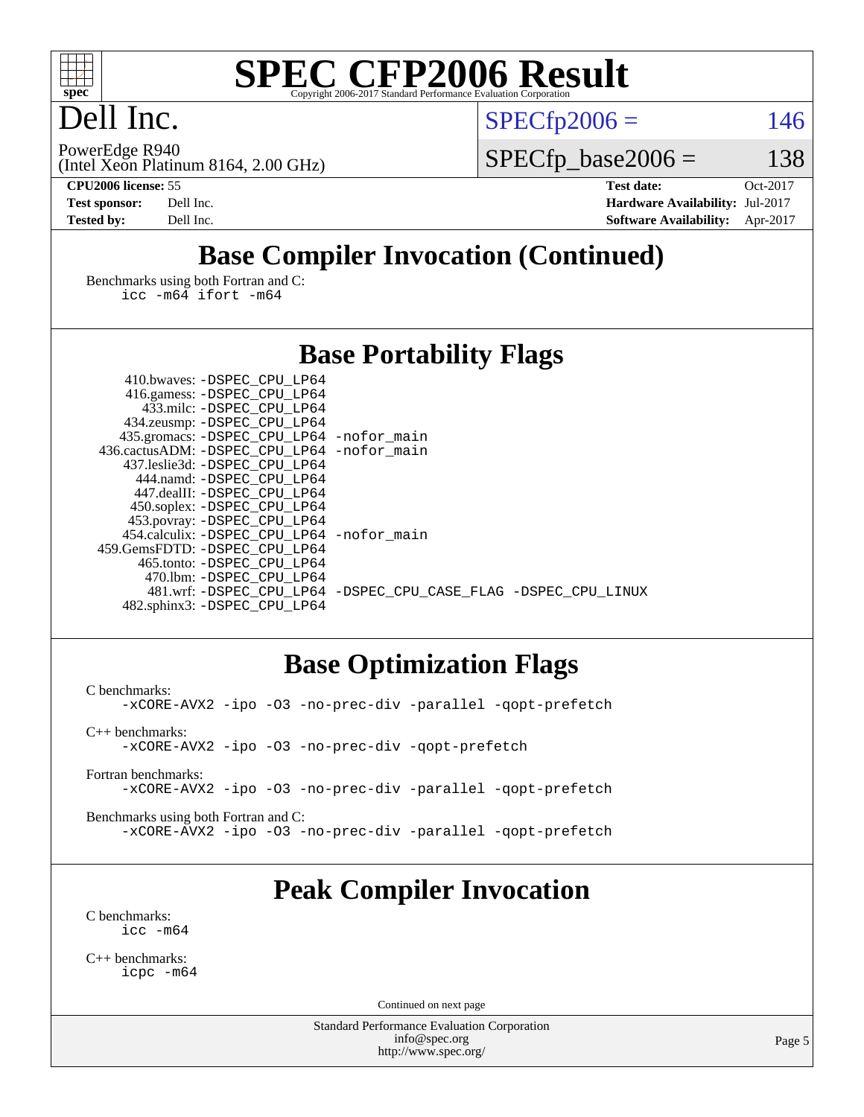

## Dell Inc.

PowerEdge R940

 $SPECTp2006 = 146$ 

(Intel Xeon Platinum 8164, 2.00 GHz)

 $SPECfp\_base2006 = 138$ 

**[CPU2006 license:](http://www.spec.org/auto/cpu2006/Docs/result-fields.html#CPU2006license)** 55 **[Test date:](http://www.spec.org/auto/cpu2006/Docs/result-fields.html#Testdate)** Oct-2017 **[Test sponsor:](http://www.spec.org/auto/cpu2006/Docs/result-fields.html#Testsponsor)** Dell Inc. **[Hardware Availability:](http://www.spec.org/auto/cpu2006/Docs/result-fields.html#HardwareAvailability)** Jul-2017 **[Tested by:](http://www.spec.org/auto/cpu2006/Docs/result-fields.html#Testedby)** Dell Inc. **[Software Availability:](http://www.spec.org/auto/cpu2006/Docs/result-fields.html#SoftwareAvailability)** Apr-2017

## **[Base Compiler Invocation \(Continued\)](http://www.spec.org/auto/cpu2006/Docs/result-fields.html#BaseCompilerInvocation)**

[Benchmarks using both Fortran and C](http://www.spec.org/auto/cpu2006/Docs/result-fields.html#BenchmarksusingbothFortranandC): [icc -m64](http://www.spec.org/cpu2006/results/res2017q4/cpu2006-20171030-50366.flags.html#user_CC_FCbase_intel_icc_64bit_bda6cc9af1fdbb0edc3795bac97ada53) [ifort -m64](http://www.spec.org/cpu2006/results/res2017q4/cpu2006-20171030-50366.flags.html#user_CC_FCbase_intel_ifort_64bit_ee9d0fb25645d0210d97eb0527dcc06e)

## **[Base Portability Flags](http://www.spec.org/auto/cpu2006/Docs/result-fields.html#BasePortabilityFlags)**

| 410.bwaves: -DSPEC CPU LP64                  |                                                                |
|----------------------------------------------|----------------------------------------------------------------|
| 416.gamess: -DSPEC_CPU_LP64                  |                                                                |
| 433.milc: -DSPEC CPU LP64                    |                                                                |
| 434.zeusmp: -DSPEC_CPU_LP64                  |                                                                |
| 435.gromacs: -DSPEC_CPU_LP64 -nofor_main     |                                                                |
| 436.cactusADM: - DSPEC CPU LP64 - nofor main |                                                                |
| 437.leslie3d: -DSPEC CPU LP64                |                                                                |
| 444.namd: -DSPEC CPU LP64                    |                                                                |
| 447.dealII: -DSPEC CPU LP64                  |                                                                |
| 450.soplex: -DSPEC_CPU_LP64                  |                                                                |
| 453.povray: -DSPEC_CPU_LP64                  |                                                                |
| 454.calculix: - DSPEC CPU LP64 - nofor main  |                                                                |
| 459. GemsFDTD: - DSPEC CPU LP64              |                                                                |
| 465.tonto: -DSPEC CPU LP64                   |                                                                |
| 470.1bm: - DSPEC_CPU LP64                    |                                                                |
|                                              | 481.wrf: -DSPEC CPU_LP64 -DSPEC_CPU_CASE_FLAG -DSPEC_CPU_LINUX |
| 482.sphinx3: -DSPEC_CPU_LP64                 |                                                                |

### **[Base Optimization Flags](http://www.spec.org/auto/cpu2006/Docs/result-fields.html#BaseOptimizationFlags)**

[C benchmarks](http://www.spec.org/auto/cpu2006/Docs/result-fields.html#Cbenchmarks): [-xCORE-AVX2](http://www.spec.org/cpu2006/results/res2017q4/cpu2006-20171030-50366.flags.html#user_CCbase_f-xCORE-AVX2) [-ipo](http://www.spec.org/cpu2006/results/res2017q4/cpu2006-20171030-50366.flags.html#user_CCbase_f-ipo) [-O3](http://www.spec.org/cpu2006/results/res2017q4/cpu2006-20171030-50366.flags.html#user_CCbase_f-O3) [-no-prec-div](http://www.spec.org/cpu2006/results/res2017q4/cpu2006-20171030-50366.flags.html#user_CCbase_f-no-prec-div) [-parallel](http://www.spec.org/cpu2006/results/res2017q4/cpu2006-20171030-50366.flags.html#user_CCbase_f-parallel) [-qopt-prefetch](http://www.spec.org/cpu2006/results/res2017q4/cpu2006-20171030-50366.flags.html#user_CCbase_f-qopt-prefetch) [C++ benchmarks:](http://www.spec.org/auto/cpu2006/Docs/result-fields.html#CXXbenchmarks) [-xCORE-AVX2](http://www.spec.org/cpu2006/results/res2017q4/cpu2006-20171030-50366.flags.html#user_CXXbase_f-xCORE-AVX2) [-ipo](http://www.spec.org/cpu2006/results/res2017q4/cpu2006-20171030-50366.flags.html#user_CXXbase_f-ipo) [-O3](http://www.spec.org/cpu2006/results/res2017q4/cpu2006-20171030-50366.flags.html#user_CXXbase_f-O3) [-no-prec-div](http://www.spec.org/cpu2006/results/res2017q4/cpu2006-20171030-50366.flags.html#user_CXXbase_f-no-prec-div) [-qopt-prefetch](http://www.spec.org/cpu2006/results/res2017q4/cpu2006-20171030-50366.flags.html#user_CXXbase_f-qopt-prefetch)

[Fortran benchmarks](http://www.spec.org/auto/cpu2006/Docs/result-fields.html#Fortranbenchmarks): [-xCORE-AVX2](http://www.spec.org/cpu2006/results/res2017q4/cpu2006-20171030-50366.flags.html#user_FCbase_f-xCORE-AVX2) [-ipo](http://www.spec.org/cpu2006/results/res2017q4/cpu2006-20171030-50366.flags.html#user_FCbase_f-ipo) [-O3](http://www.spec.org/cpu2006/results/res2017q4/cpu2006-20171030-50366.flags.html#user_FCbase_f-O3) [-no-prec-div](http://www.spec.org/cpu2006/results/res2017q4/cpu2006-20171030-50366.flags.html#user_FCbase_f-no-prec-div) [-parallel](http://www.spec.org/cpu2006/results/res2017q4/cpu2006-20171030-50366.flags.html#user_FCbase_f-parallel) [-qopt-prefetch](http://www.spec.org/cpu2006/results/res2017q4/cpu2006-20171030-50366.flags.html#user_FCbase_f-qopt-prefetch)

[Benchmarks using both Fortran and C](http://www.spec.org/auto/cpu2006/Docs/result-fields.html#BenchmarksusingbothFortranandC): [-xCORE-AVX2](http://www.spec.org/cpu2006/results/res2017q4/cpu2006-20171030-50366.flags.html#user_CC_FCbase_f-xCORE-AVX2) [-ipo](http://www.spec.org/cpu2006/results/res2017q4/cpu2006-20171030-50366.flags.html#user_CC_FCbase_f-ipo) [-O3](http://www.spec.org/cpu2006/results/res2017q4/cpu2006-20171030-50366.flags.html#user_CC_FCbase_f-O3) [-no-prec-div](http://www.spec.org/cpu2006/results/res2017q4/cpu2006-20171030-50366.flags.html#user_CC_FCbase_f-no-prec-div) [-parallel](http://www.spec.org/cpu2006/results/res2017q4/cpu2006-20171030-50366.flags.html#user_CC_FCbase_f-parallel) [-qopt-prefetch](http://www.spec.org/cpu2006/results/res2017q4/cpu2006-20171030-50366.flags.html#user_CC_FCbase_f-qopt-prefetch)

## **[Peak Compiler Invocation](http://www.spec.org/auto/cpu2006/Docs/result-fields.html#PeakCompilerInvocation)**

[C benchmarks](http://www.spec.org/auto/cpu2006/Docs/result-fields.html#Cbenchmarks): [icc -m64](http://www.spec.org/cpu2006/results/res2017q4/cpu2006-20171030-50366.flags.html#user_CCpeak_intel_icc_64bit_bda6cc9af1fdbb0edc3795bac97ada53)

[C++ benchmarks:](http://www.spec.org/auto/cpu2006/Docs/result-fields.html#CXXbenchmarks) [icpc -m64](http://www.spec.org/cpu2006/results/res2017q4/cpu2006-20171030-50366.flags.html#user_CXXpeak_intel_icpc_64bit_fc66a5337ce925472a5c54ad6a0de310)

Continued on next page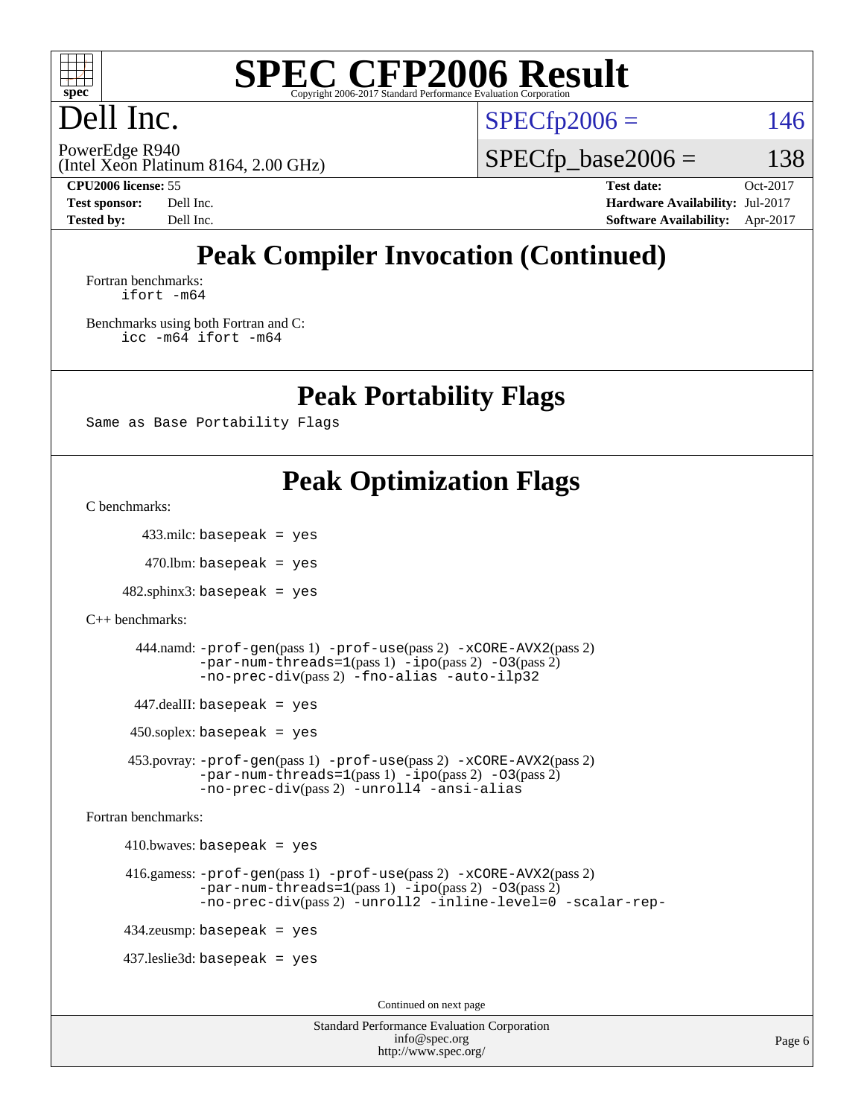

## Dell Inc.

 $SPECTp2006 = 146$ 

(Intel Xeon Platinum 8164, 2.00 GHz) PowerEdge R940

 $SPECfp\_base2006 = 138$ 

**[CPU2006 license:](http://www.spec.org/auto/cpu2006/Docs/result-fields.html#CPU2006license)** 55 **[Test date:](http://www.spec.org/auto/cpu2006/Docs/result-fields.html#Testdate)** Oct-2017 **[Test sponsor:](http://www.spec.org/auto/cpu2006/Docs/result-fields.html#Testsponsor)** Dell Inc. **[Hardware Availability:](http://www.spec.org/auto/cpu2006/Docs/result-fields.html#HardwareAvailability)** Jul-2017 **[Tested by:](http://www.spec.org/auto/cpu2006/Docs/result-fields.html#Testedby)** Dell Inc. **[Software Availability:](http://www.spec.org/auto/cpu2006/Docs/result-fields.html#SoftwareAvailability)** Apr-2017

## **[Peak Compiler Invocation \(Continued\)](http://www.spec.org/auto/cpu2006/Docs/result-fields.html#PeakCompilerInvocation)**

[Fortran benchmarks](http://www.spec.org/auto/cpu2006/Docs/result-fields.html#Fortranbenchmarks): [ifort -m64](http://www.spec.org/cpu2006/results/res2017q4/cpu2006-20171030-50366.flags.html#user_FCpeak_intel_ifort_64bit_ee9d0fb25645d0210d97eb0527dcc06e)

[Benchmarks using both Fortran and C](http://www.spec.org/auto/cpu2006/Docs/result-fields.html#BenchmarksusingbothFortranandC): [icc -m64](http://www.spec.org/cpu2006/results/res2017q4/cpu2006-20171030-50366.flags.html#user_CC_FCpeak_intel_icc_64bit_bda6cc9af1fdbb0edc3795bac97ada53) [ifort -m64](http://www.spec.org/cpu2006/results/res2017q4/cpu2006-20171030-50366.flags.html#user_CC_FCpeak_intel_ifort_64bit_ee9d0fb25645d0210d97eb0527dcc06e)

**[Peak Portability Flags](http://www.spec.org/auto/cpu2006/Docs/result-fields.html#PeakPortabilityFlags)**

Same as Base Portability Flags

## **[Peak Optimization Flags](http://www.spec.org/auto/cpu2006/Docs/result-fields.html#PeakOptimizationFlags)**

[C benchmarks](http://www.spec.org/auto/cpu2006/Docs/result-fields.html#Cbenchmarks):

433.milc: basepeak = yes

 $470$ .lbm: basepeak = yes

 $482$ .sphinx $3$ : basepeak = yes

```
C++ benchmarks:
```

```
 444.namd: -prof-gen(pass 1) -prof-use(pass 2) -xCORE-AVX2(pass 2)
-par-num-threads=1-ipo-O3(pass 2)-no-prec-div(pass 2) -fno-alias -auto-ilp32
```
447.dealII: basepeak = yes

 $450$ .soplex: basepeak = yes

 453.povray: [-prof-gen](http://www.spec.org/cpu2006/results/res2017q4/cpu2006-20171030-50366.flags.html#user_peakPASS1_CXXFLAGSPASS1_LDFLAGS453_povray_prof_gen_e43856698f6ca7b7e442dfd80e94a8fc)(pass 1) [-prof-use](http://www.spec.org/cpu2006/results/res2017q4/cpu2006-20171030-50366.flags.html#user_peakPASS2_CXXFLAGSPASS2_LDFLAGS453_povray_prof_use_bccf7792157ff70d64e32fe3e1250b55)(pass 2) [-xCORE-AVX2](http://www.spec.org/cpu2006/results/res2017q4/cpu2006-20171030-50366.flags.html#user_peakPASS2_CXXFLAGSPASS2_LDFLAGS453_povray_f-xCORE-AVX2)(pass 2)  $-par-num-threads=1(pass 1) -ipo(pass 2) -O3(pass 2)$  $-par-num-threads=1(pass 1) -ipo(pass 2) -O3(pass 2)$  $-par-num-threads=1(pass 1) -ipo(pass 2) -O3(pass 2)$  $-par-num-threads=1(pass 1) -ipo(pass 2) -O3(pass 2)$  $-par-num-threads=1(pass 1) -ipo(pass 2) -O3(pass 2)$  $-par-num-threads=1(pass 1) -ipo(pass 2) -O3(pass 2)$ [-no-prec-div](http://www.spec.org/cpu2006/results/res2017q4/cpu2006-20171030-50366.flags.html#user_peakPASS2_CXXFLAGSPASS2_LDFLAGS453_povray_f-no-prec-div)(pass 2) [-unroll4](http://www.spec.org/cpu2006/results/res2017q4/cpu2006-20171030-50366.flags.html#user_peakCXXOPTIMIZE453_povray_f-unroll_4e5e4ed65b7fd20bdcd365bec371b81f) [-ansi-alias](http://www.spec.org/cpu2006/results/res2017q4/cpu2006-20171030-50366.flags.html#user_peakCXXOPTIMIZE453_povray_f-ansi-alias)

[Fortran benchmarks](http://www.spec.org/auto/cpu2006/Docs/result-fields.html#Fortranbenchmarks):

 $410.bwaves: basepeak = yes$ 

```
 416.gamess: -prof-gen(pass 1) -prof-use(pass 2) -xCORE-AVX2(pass 2)
  -par-num-threads=1-ipo-O3(pass 2)-no-prec-div(pass 2) -unroll2 -inline-level=0 -scalar-rep-
```
434.zeusmp: basepeak = yes

437.leslie3d: basepeak = yes

Continued on next page